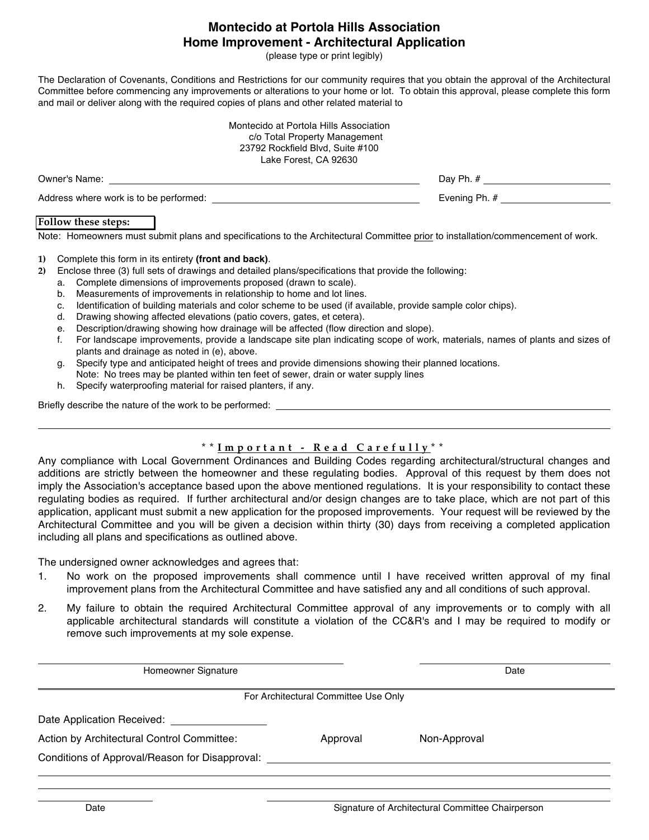# **Montecido at Portola Hills Association Home Improvement - Architectural Application**

(please type or print legibly)

The Declaration of Covenants, Conditions and Restrictions for our community requires that you obtain the approval of the Architectural Committee before commencing any improvements or alterations to your home or lot. To obtain this approval, please complete this form and mail or deliver along with the required copies of plans and other related material to

| Montecido at Portola Hills Association<br>c/o Total Property Management<br>23792 Rockfield Blvd, Suite #100<br>Lake Forest, CA 92630 |               |
|--------------------------------------------------------------------------------------------------------------------------------------|---------------|
| Owner's Name:                                                                                                                        | Dav Ph. #     |
| Address where work is to be performed:                                                                                               | Evening Ph. # |

#### **Follow these steps:**

Note: Homeowners must submit plans and specifications to the Architectural Committee prior to installation/commencement of work.

#### **1)** Complete this form in its entirety **(front and back)**.

- **2)** Enclose three (3) full sets of drawings and detailed plans/specifications that provide the following:
	- a. Complete dimensions of improvements proposed (drawn to scale).
	- b. Measurements of improvements in relationship to home and lot lines.
	- c. Identification of building materials and color scheme to be used (if available, provide sample color chips).
	- d. Drawing showing affected elevations (patio covers, gates, et cetera).
	- e. Description/drawing showing how drainage will be affected (flow direction and slope).
	- f. For landscape improvements, provide a landscape site plan indicating scope of work, materials, names of plants and sizes of plants and drainage as noted in (e), above.
	- g. Specify type and anticipated height of trees and provide dimensions showing their planned locations.
	- Note: No trees may be planted within ten feet of sewer, drain or water supply lines
	- h. Specify waterproofing material for raised planters, if any.

Briefly describe the nature of the work to be performed:

### **\* \* Important - Read Carefully \* \***

Any compliance with Local Government Ordinances and Building Codes regarding architectural/structural changes and additions are strictly between the homeowner and these regulating bodies. Approval of this request by them does not imply the Association's acceptance based upon the above mentioned regulations. It is your responsibility to contact these regulating bodies as required. If further architectural and/or design changes are to take place, which are not part of this application, applicant must submit a new application for the proposed improvements. Your request will be reviewed by the Architectural Committee and you will be given a decision within thirty (30) days from receiving a completed application including all plans and specifications as outlined above.

The undersigned owner acknowledges and agrees that:

- 1. No work on the proposed improvements shall commence until I have received written approval of my final improvement plans from the Architectural Committee and have satisfied any and all conditions of such approval.
- 2. My failure to obtain the required Architectural Committee approval of any improvements or to comply with all applicable architectural standards will constitute a violation of the CC&R's and I may be required to modify or remove such improvements at my sole expense.

| Homeowner Signature                            |                                      |              | Date |
|------------------------------------------------|--------------------------------------|--------------|------|
|                                                | For Architectural Committee Use Only |              |      |
| Date Application Received:                     |                                      |              |      |
| Action by Architectural Control Committee:     | Approval                             | Non-Approval |      |
| Conditions of Approval/Reason for Disapproval: |                                      |              |      |
|                                                |                                      |              |      |